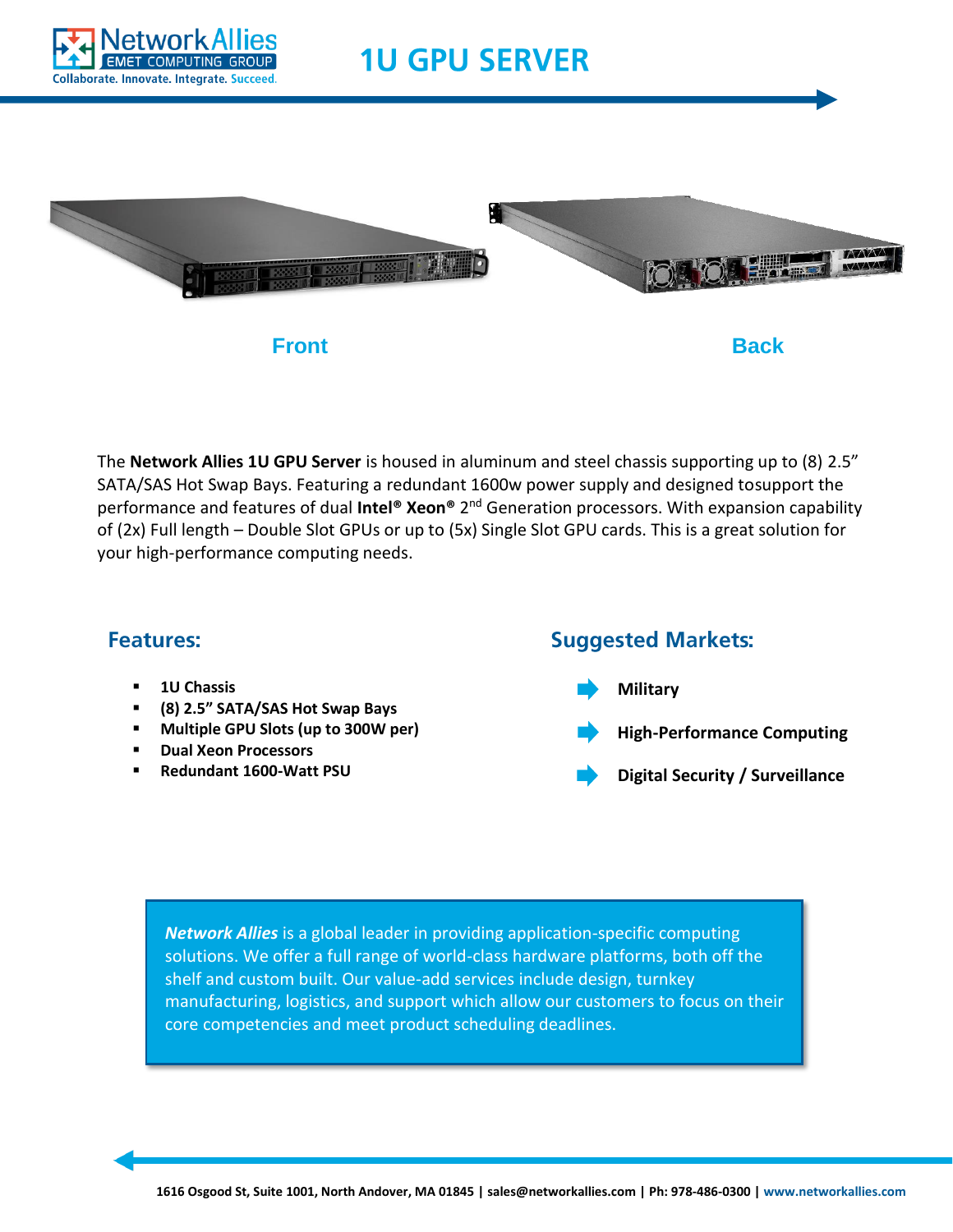

## **1U GPU SERVER**



The **Network Allies 1U GPU Server** is housed in aluminum and steel chassis supporting up to (8) 2.5" SATA/SAS Hot Swap Bays. Featuring a redundant 1600w power supply and designed tosupport the performance and features of dual Intel® Xeon® 2<sup>nd</sup> Generation processors. With expansion capability of (2x) Full length – Double Slot GPUs or up to (5x) Single Slot GPU cards. This is a great solution for your high-performance computing needs.

## **Features:**

- **1U Chassis**
- **(8) 2.5" SATA/SAS Hot Swap Bays**
- **Multiple GPU Slots (up to 300W per)**
- **Dual Xeon Processors**
- **Redundant 1600-Watt PSU**

## **Suggested Markets: Military High-Performance Computing Digital Security / Surveillance**

*Network Allies* is a global leader in providing application-specific computing solutions. We offer a full range of world-class hardware platforms, both off the shelf and custom built. Our value-add services include design, turnkey manufacturing, logistics, and support which allow our customers to focus on their core competencies and meet product scheduling deadlines.